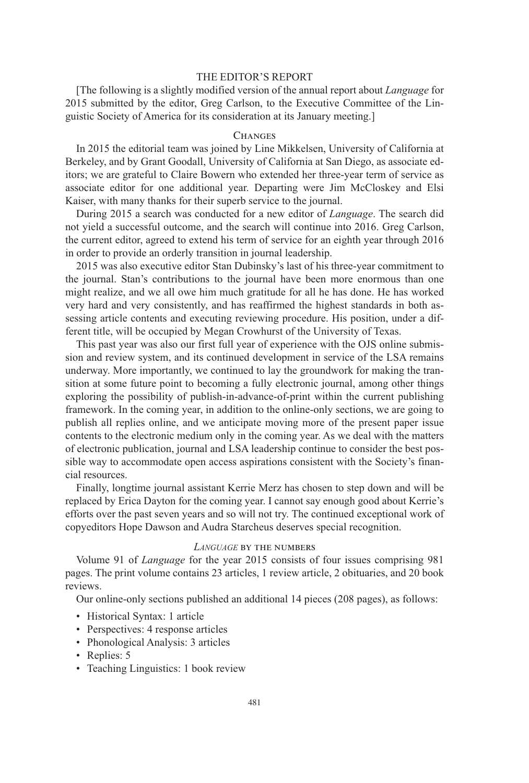# THE EDITOR'S REPORT

[The following is a slightly modified version of the annual report about *Language* for 2015 submitted by the editor, Greg Carlson, to the Executive Committee of the Linguistic Society of America for its consideration at its January meeting.]

## **CHANGES**

In 2015 the editorial team was joined by Line Mikkelsen, University of California at Berkeley, and by Grant Goodall, University of California at San Diego, as associate editors; we are grateful to Claire Bowern who extended her three-year term of service as associate editor for one additional year. Departing were Jim McCloskey and Elsi Kaiser, with many thanks for their superb service to the journal.

During 2015 a search was conducted for a new editor of *Language*. The search did not yield a successful outcome, and the search will continue into 2016. Greg Carlson, the current editor, agreed to extend his term of service for an eighth year through 2016 in order to provide an orderly transition in journal leadership.

2015 was also executive editor Stan Dubinsky's last of his three-year commitment to the journal. Stan's contributions to the journal have been more enormous than one might realize, and we all owe him much gratitude for all he has done. He has worked very hard and very consistently, and has reaffirmed the highest standards in both assessing article contents and executing reviewing procedure. His position, under a different title, will be occupied by Megan Crowhurst of the University of Texas.

This past year was also our first full year of experience with the OJS online submission and review system, and its continued development in service of the LSA remains underway. More importantly, we continued to lay the groundwork for making the transition at some future point to becoming a fully electronic journal, among other things exploring the possibility of publish-in-advance-of-print within the current publishing framework. In the coming year, in addition to the online-only sections, we are going to publish all replies online, and we anticipate moving more of the present paper issue contents to the electronic medium only in the coming year. As we deal with the matters of electronic publication, journal and LSA leadership continue to consider the best possible way to accommodate open access aspirations consistent with the Society's financial resources.

Finally, longtime journal assistant Kerrie Merz has chosen to step down and will be replaced by Erica Dayton for the coming year. I cannot say enough good about Kerrie's efforts over the past seven years and so will not try. The continued exceptional work of copyeditors Hope Dawson and Audra Starcheus deserves special recognition.

## *LANGUAGE* by the numbers

Volume 91 of *Language* for the year 2015 consists of four issues comprising 981 pages. The print volume contains 23 articles, 1 review article, 2 obituaries, and 20 book reviews.

Our online-only sections published an additional 14 pieces (208 pages), as follows:

- Historical Syntax: 1 article
- Perspectives: 4 response articles
- Phonological Analysis: 3 articles
- Replies: 5
- Teaching Linguistics: 1 book review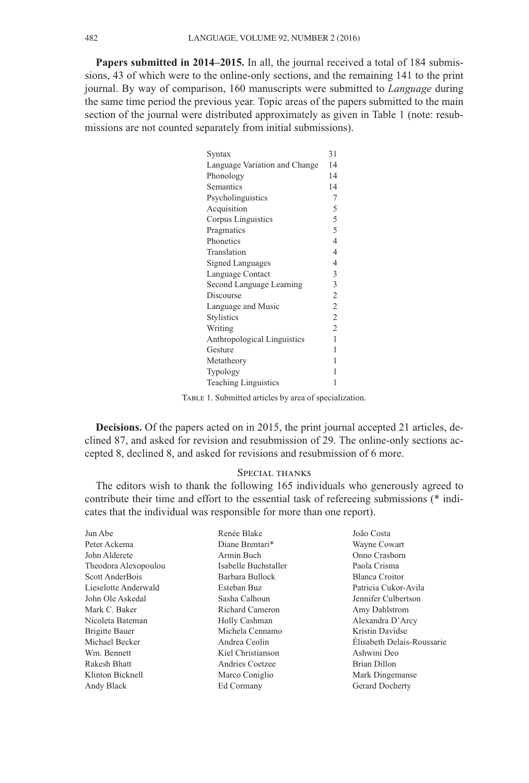**Papers submitted in 2014–2015.** In all, the journal received a total of 184 submissions, 43 of which were to the online-only sections, and the remaining 141 to the print journal. By way of comparison, 160 manuscripts were submitted to *Language* during the same time period the previous year. Topic areas of the papers submitted to the main section of the journal were distributed approximately as given in Table 1 (note: resubmissions are not counted separately from initial submissions).

| Syntax                        | 31             |
|-------------------------------|----------------|
| Language Variation and Change | 14             |
| Phonology                     | 14             |
| Semantics                     | 14             |
| Psycholinguistics             | 7              |
| Acquisition                   | 5              |
| Corpus Linguistics            | 5              |
| Pragmatics                    | 5              |
| Phonetics                     | 4              |
| Translation                   | 4              |
| <b>Signed Languages</b>       | 4              |
| Language Contact              |                |
| Second Language Learning      |                |
| Discourse                     | $\overline{c}$ |
| Language and Music            |                |
| <b>Stylistics</b>             | $\overline{2}$ |
| Writing                       | $\overline{2}$ |
| Anthropological Linguistics   | 1              |
| Gesture                       | 1              |
| Metatheory                    | 1              |
| Typology                      | 1              |
| <b>Teaching Linguistics</b>   |                |

TABLE 1. Submitted articles by area of specialization.

**Decisions.** Of the papers acted on in 2015, the print journal accepted 21 articles, declined 87, and asked for revision and resubmission of 29. The online-only sections accepted 8, declined 8, and asked for revisions and resubmission of 6 more.

## Special thanks

The editors wish to thank the following 165 individuals who generously agreed to contribute their time and effort to the essential task of refereeing submissions (\* indicates that the individual was responsible for more than one report).

| Jun Abe               | Renée Blake          | João Costa                 |
|-----------------------|----------------------|----------------------------|
| Peter Ackema          | Diane Brentari*      | Wayne Cowart               |
| John Alderete         | Armin Buch           | Onno Crasborn              |
| Theodora Alexopoulou  | Isabelle Buchstaller | Paola Crisma               |
| Scott AnderBois       | Barbara Bullock      | Blanca Croitor             |
| Lieselotte Anderwald  | Esteban Buz          | Patricia Cukor-Avila       |
| John Ole Askedal      | Sasha Calhoun        | Jennifer Culbertson        |
| Mark C. Baker         | Richard Cameron      | Amy Dahlstrom              |
| Nicoleta Bateman      | Holly Cashman        | Alexandra D'Arcy           |
| <b>Brigitte Bauer</b> | Michela Cennamo      | Kristin Davidse            |
| Michael Becker        | Andrea Ceolin        | Élisabeth Delais-Roussarie |
| Wm. Bennett           | Kiel Christianson    | Ashwini Deo                |
| Rakesh Bhatt          | Andries Coetzee      | Brian Dillon               |
| Klinton Bicknell      | Marco Coniglio       | Mark Dingemanse            |
| Andy Black            | Ed Cormany           | Gerard Docherty            |
|                       |                      |                            |